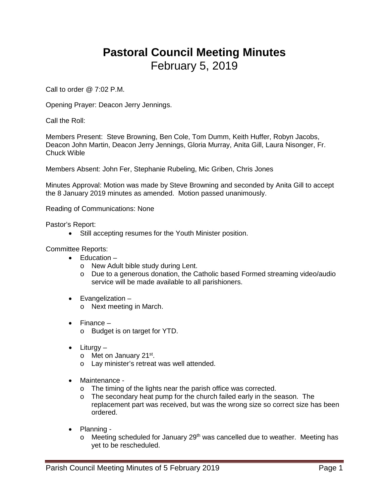## **Pastoral Council Meeting Minutes** February 5, 2019

Call to order @ 7:02 P.M.

Opening Prayer: Deacon Jerry Jennings.

Call the Roll:

Members Present: Steve Browning, Ben Cole, Tom Dumm, Keith Huffer, Robyn Jacobs, Deacon John Martin, Deacon Jerry Jennings, Gloria Murray, Anita Gill, Laura Nisonger, Fr. Chuck Wible

Members Absent: John Fer, Stephanie Rubeling, Mic Griben, Chris Jones

Minutes Approval: Motion was made by Steve Browning and seconded by Anita Gill to accept the 8 January 2019 minutes as amended. Motion passed unanimously.

Reading of Communications: None

Pastor's Report:

• Still accepting resumes for the Youth Minister position.

Committee Reports:

- Education
	- o New Adult bible study during Lent.
	- o Due to a generous donation, the Catholic based Formed streaming video/audio service will be made available to all parishioners.
- Evangelization
	- o Next meeting in March.
- Finance
	- o Budget is on target for YTD.
- Liturgy
	- o Met on January 21<sup>st</sup>.
	- o Lay minister's retreat was well attended.
- Maintenance
	- o The timing of the lights near the parish office was corrected.
	- o The secondary heat pump for the church failed early in the season. The replacement part was received, but was the wrong size so correct size has been ordered.
- Planning
	- $\circ$  Meeting scheduled for January 29<sup>th</sup> was cancelled due to weather. Meeting has yet to be rescheduled.